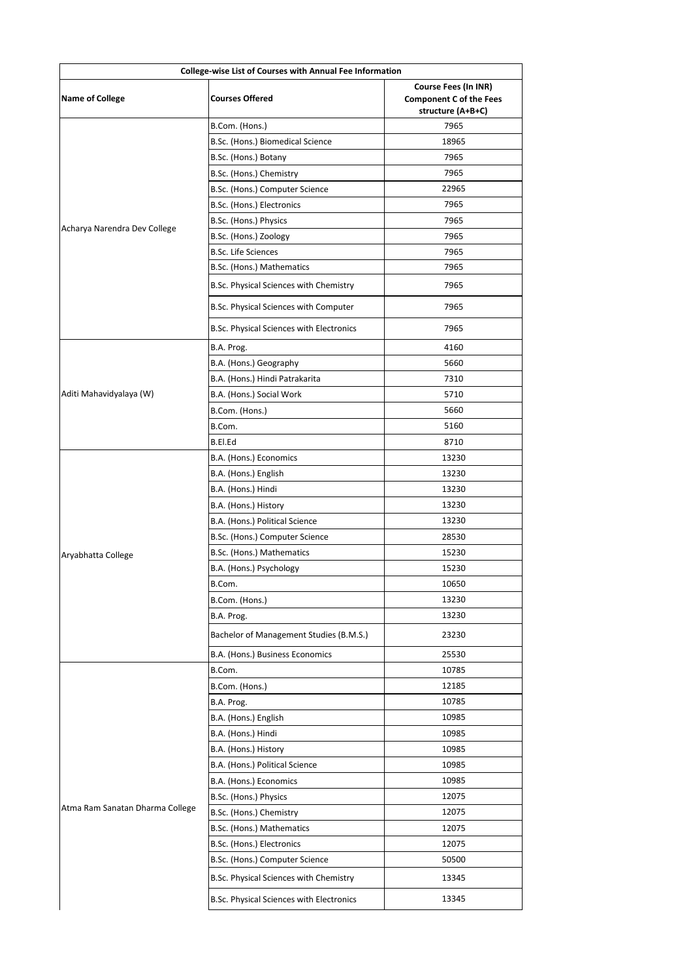| College-wise List of Courses with Annual Fee Information |                                          |                                                                                    |
|----------------------------------------------------------|------------------------------------------|------------------------------------------------------------------------------------|
| <b>Name of College</b>                                   | <b>Courses Offered</b>                   | <b>Course Fees (In INR)</b><br><b>Component C of the Fees</b><br>structure (A+B+C) |
|                                                          | B.Com. (Hons.)                           | 7965                                                                               |
|                                                          | B.Sc. (Hons.) Biomedical Science         | 18965                                                                              |
|                                                          | B.Sc. (Hons.) Botany                     | 7965                                                                               |
|                                                          | B.Sc. (Hons.) Chemistry                  | 7965                                                                               |
|                                                          | B.Sc. (Hons.) Computer Science           | 22965                                                                              |
|                                                          | B.Sc. (Hons.) Electronics                | 7965                                                                               |
|                                                          | B.Sc. (Hons.) Physics                    | 7965                                                                               |
| Acharya Narendra Dev College                             | B.Sc. (Hons.) Zoology                    | 7965                                                                               |
|                                                          | <b>B.Sc. Life Sciences</b>               | 7965                                                                               |
|                                                          | B.Sc. (Hons.) Mathematics                | 7965                                                                               |
|                                                          | B.Sc. Physical Sciences with Chemistry   | 7965                                                                               |
|                                                          | B.Sc. Physical Sciences with Computer    | 7965                                                                               |
|                                                          | B.Sc. Physical Sciences with Electronics | 7965                                                                               |
|                                                          | B.A. Prog.                               | 4160                                                                               |
|                                                          | B.A. (Hons.) Geography                   | 5660                                                                               |
|                                                          | B.A. (Hons.) Hindi Patrakarita           | 7310                                                                               |
| Aditi Mahavidyalaya (W)                                  | B.A. (Hons.) Social Work                 | 5710                                                                               |
|                                                          | B.Com. (Hons.)                           | 5660                                                                               |
|                                                          | B.Com.                                   | 5160                                                                               |
|                                                          | B.El.Ed                                  | 8710                                                                               |
|                                                          | B.A. (Hons.) Economics                   | 13230                                                                              |
|                                                          | B.A. (Hons.) English                     | 13230                                                                              |
|                                                          | B.A. (Hons.) Hindi                       | 13230                                                                              |
|                                                          | B.A. (Hons.) History                     | 13230                                                                              |
|                                                          | B.A. (Hons.) Political Science           | 13230                                                                              |
|                                                          | B.Sc. (Hons.) Computer Science           | 28530                                                                              |
| Aryabhatta College                                       | B.Sc. (Hons.) Mathematics                | 15230                                                                              |
|                                                          | B.A. (Hons.) Psychology                  | 15230                                                                              |
|                                                          | B.Com.                                   | 10650                                                                              |
|                                                          | B.Com. (Hons.)                           | 13230                                                                              |
|                                                          | B.A. Prog.                               | 13230                                                                              |
|                                                          | Bachelor of Management Studies (B.M.S.)  | 23230                                                                              |
|                                                          | B.A. (Hons.) Business Economics          | 25530                                                                              |
|                                                          | B.Com.                                   | 10785                                                                              |
|                                                          | B.Com. (Hons.)                           | 12185                                                                              |
|                                                          | B.A. Prog.                               | 10785                                                                              |
|                                                          | B.A. (Hons.) English                     | 10985                                                                              |
|                                                          | B.A. (Hons.) Hindi                       | 10985                                                                              |
|                                                          | B.A. (Hons.) History                     | 10985                                                                              |
|                                                          | B.A. (Hons.) Political Science           | 10985                                                                              |
|                                                          | B.A. (Hons.) Economics                   | 10985                                                                              |
|                                                          | B.Sc. (Hons.) Physics                    | 12075                                                                              |
| Atma Ram Sanatan Dharma College                          | B.Sc. (Hons.) Chemistry                  | 12075                                                                              |
|                                                          | B.Sc. (Hons.) Mathematics                | 12075                                                                              |
|                                                          | B.Sc. (Hons.) Electronics                | 12075                                                                              |
|                                                          | B.Sc. (Hons.) Computer Science           | 50500                                                                              |
|                                                          | B.Sc. Physical Sciences with Chemistry   | 13345                                                                              |
|                                                          | B.Sc. Physical Sciences with Electronics | 13345                                                                              |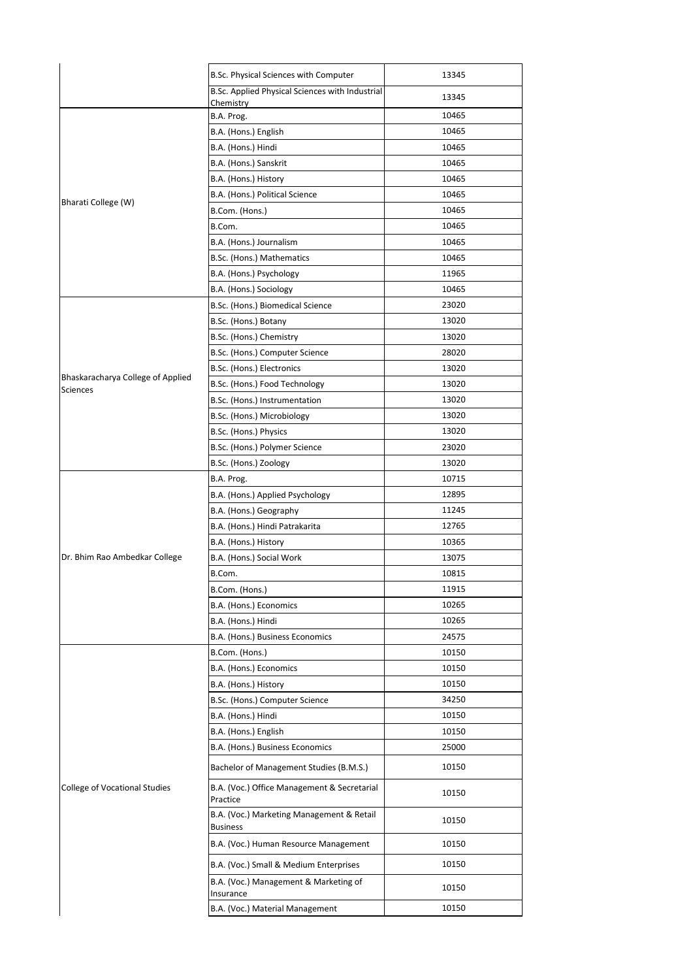|                                      | B.Sc. Physical Sciences with Computer                        | 13345 |
|--------------------------------------|--------------------------------------------------------------|-------|
|                                      | B.Sc. Applied Physical Sciences with Industrial              | 13345 |
|                                      | Chemistry<br>B.A. Prog.                                      | 10465 |
|                                      | B.A. (Hons.) English                                         | 10465 |
|                                      | B.A. (Hons.) Hindi                                           | 10465 |
|                                      | B.A. (Hons.) Sanskrit                                        | 10465 |
|                                      | B.A. (Hons.) History                                         | 10465 |
|                                      | B.A. (Hons.) Political Science                               | 10465 |
| Bharati College (W)                  | B.Com. (Hons.)                                               | 10465 |
|                                      | B.Com.                                                       | 10465 |
|                                      | B.A. (Hons.) Journalism                                      | 10465 |
|                                      | B.Sc. (Hons.) Mathematics                                    | 10465 |
|                                      | B.A. (Hons.) Psychology                                      | 11965 |
|                                      | B.A. (Hons.) Sociology                                       | 10465 |
|                                      | B.Sc. (Hons.) Biomedical Science                             | 23020 |
|                                      | B.Sc. (Hons.) Botany                                         | 13020 |
|                                      | B.Sc. (Hons.) Chemistry                                      | 13020 |
|                                      | B.Sc. (Hons.) Computer Science                               | 28020 |
|                                      | B.Sc. (Hons.) Electronics                                    | 13020 |
| Bhaskaracharya College of Applied    | B.Sc. (Hons.) Food Technology                                | 13020 |
| <b>Sciences</b>                      | B.Sc. (Hons.) Instrumentation                                | 13020 |
|                                      | B.Sc. (Hons.) Microbiology                                   | 13020 |
|                                      | B.Sc. (Hons.) Physics                                        | 13020 |
|                                      | B.Sc. (Hons.) Polymer Science                                | 23020 |
|                                      | B.Sc. (Hons.) Zoology                                        | 13020 |
|                                      | B.A. Prog.                                                   | 10715 |
|                                      | B.A. (Hons.) Applied Psychology                              | 12895 |
|                                      | B.A. (Hons.) Geography                                       | 11245 |
|                                      | B.A. (Hons.) Hindi Patrakarita                               | 12765 |
|                                      | B.A. (Hons.) History                                         | 10365 |
| Dr. Bhim Rao Ambedkar College        | B.A. (Hons.) Social Work                                     | 13075 |
|                                      | B.Com.                                                       | 10815 |
|                                      | B.Com. (Hons.)                                               | 11915 |
|                                      | B.A. (Hons.) Economics                                       | 10265 |
|                                      | B.A. (Hons.) Hindi                                           | 10265 |
|                                      | B.A. (Hons.) Business Economics                              | 24575 |
|                                      | B.Com. (Hons.)                                               | 10150 |
|                                      | B.A. (Hons.) Economics                                       | 10150 |
|                                      | B.A. (Hons.) History                                         | 10150 |
|                                      | B.Sc. (Hons.) Computer Science                               | 34250 |
|                                      | B.A. (Hons.) Hindi                                           | 10150 |
|                                      | B.A. (Hons.) English                                         | 10150 |
|                                      | B.A. (Hons.) Business Economics                              | 25000 |
|                                      | Bachelor of Management Studies (B.M.S.)                      | 10150 |
| <b>College of Vocational Studies</b> | B.A. (Voc.) Office Management & Secretarial<br>Practice      | 10150 |
|                                      | B.A. (Voc.) Marketing Management & Retail<br><b>Business</b> | 10150 |
|                                      | B.A. (Voc.) Human Resource Management                        | 10150 |
|                                      | B.A. (Voc.) Small & Medium Enterprises                       | 10150 |
|                                      | B.A. (Voc.) Management & Marketing of<br>Insurance           | 10150 |
|                                      | B.A. (Voc.) Material Management                              | 10150 |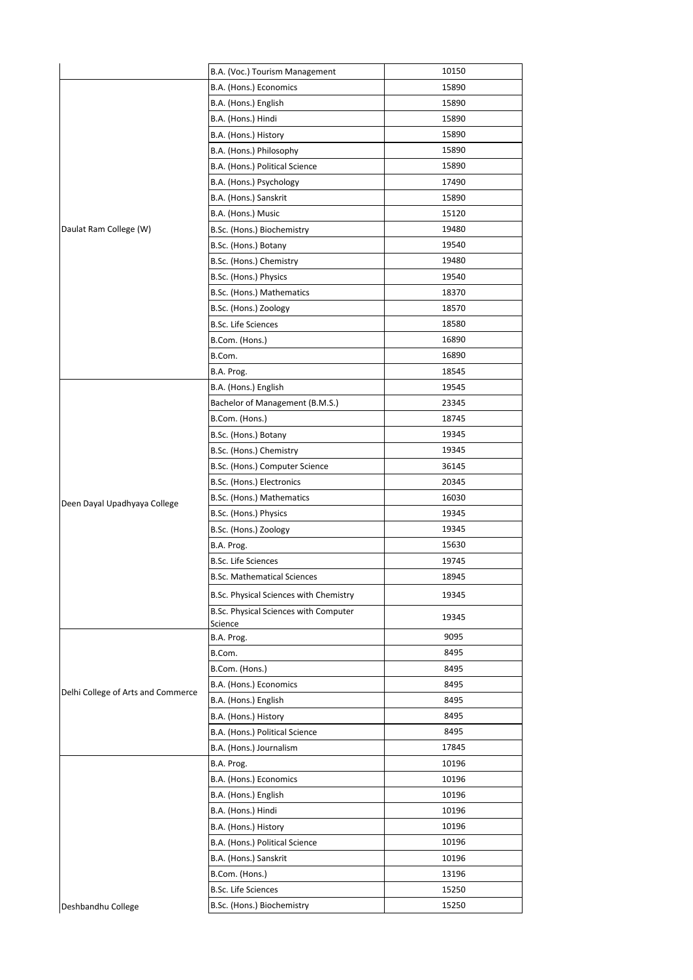|                                    | B.A. (Voc.) Tourism Management                          | 10150 |
|------------------------------------|---------------------------------------------------------|-------|
|                                    | B.A. (Hons.) Economics                                  | 15890 |
|                                    | B.A. (Hons.) English                                    | 15890 |
|                                    | B.A. (Hons.) Hindi                                      | 15890 |
|                                    | B.A. (Hons.) History                                    | 15890 |
|                                    | B.A. (Hons.) Philosophy                                 | 15890 |
|                                    | B.A. (Hons.) Political Science                          | 15890 |
|                                    | B.A. (Hons.) Psychology                                 | 17490 |
|                                    | B.A. (Hons.) Sanskrit                                   | 15890 |
|                                    | B.A. (Hons.) Music                                      | 15120 |
| Daulat Ram College (W)             | B.Sc. (Hons.) Biochemistry                              | 19480 |
|                                    | B.Sc. (Hons.) Botany                                    | 19540 |
|                                    | B.Sc. (Hons.) Chemistry                                 | 19480 |
|                                    | B.Sc. (Hons.) Physics                                   | 19540 |
|                                    | B.Sc. (Hons.) Mathematics                               | 18370 |
|                                    | B.Sc. (Hons.) Zoology                                   | 18570 |
|                                    | <b>B.Sc. Life Sciences</b>                              | 18580 |
|                                    | B.Com. (Hons.)                                          | 16890 |
|                                    | B.Com.                                                  | 16890 |
|                                    | B.A. Prog.                                              | 18545 |
|                                    | B.A. (Hons.) English                                    | 19545 |
|                                    | Bachelor of Management (B.M.S.)                         | 23345 |
|                                    | B.Com. (Hons.)                                          | 18745 |
|                                    | B.Sc. (Hons.) Botany                                    | 19345 |
|                                    | B.Sc. (Hons.) Chemistry                                 | 19345 |
|                                    | B.Sc. (Hons.) Computer Science                          | 36145 |
|                                    | B.Sc. (Hons.) Electronics                               | 20345 |
| Deen Dayal Upadhyaya College       | B.Sc. (Hons.) Mathematics                               | 16030 |
|                                    | B.Sc. (Hons.) Physics                                   | 19345 |
|                                    | B.Sc. (Hons.) Zoology                                   | 19345 |
|                                    | B.A. Prog.                                              | 15630 |
|                                    | <b>B.Sc. Life Sciences</b>                              | 19745 |
|                                    | <b>B.Sc. Mathematical Sciences</b>                      | 18945 |
|                                    | B.Sc. Physical Sciences with Chemistry                  | 19345 |
|                                    | <b>B.Sc. Physical Sciences with Computer</b><br>Science | 19345 |
|                                    | B.A. Prog.                                              | 9095  |
|                                    | B.Com.                                                  | 8495  |
|                                    | B.Com. (Hons.)                                          | 8495  |
| Delhi College of Arts and Commerce | B.A. (Hons.) Economics                                  | 8495  |
|                                    | B.A. (Hons.) English                                    | 8495  |
|                                    | B.A. (Hons.) History                                    | 8495  |
|                                    | B.A. (Hons.) Political Science                          | 8495  |
|                                    | B.A. (Hons.) Journalism                                 | 17845 |
|                                    | B.A. Prog.                                              | 10196 |
|                                    | B.A. (Hons.) Economics                                  | 10196 |
|                                    | B.A. (Hons.) English                                    | 10196 |
|                                    | B.A. (Hons.) Hindi                                      | 10196 |
|                                    | B.A. (Hons.) History                                    | 10196 |
|                                    | B.A. (Hons.) Political Science                          | 10196 |
|                                    | B.A. (Hons.) Sanskrit                                   | 10196 |
|                                    | B.Com. (Hons.)                                          | 13196 |
|                                    | <b>B.Sc. Life Sciences</b>                              | 15250 |
| Deshbandhu College                 | B.Sc. (Hons.) Biochemistry                              | 15250 |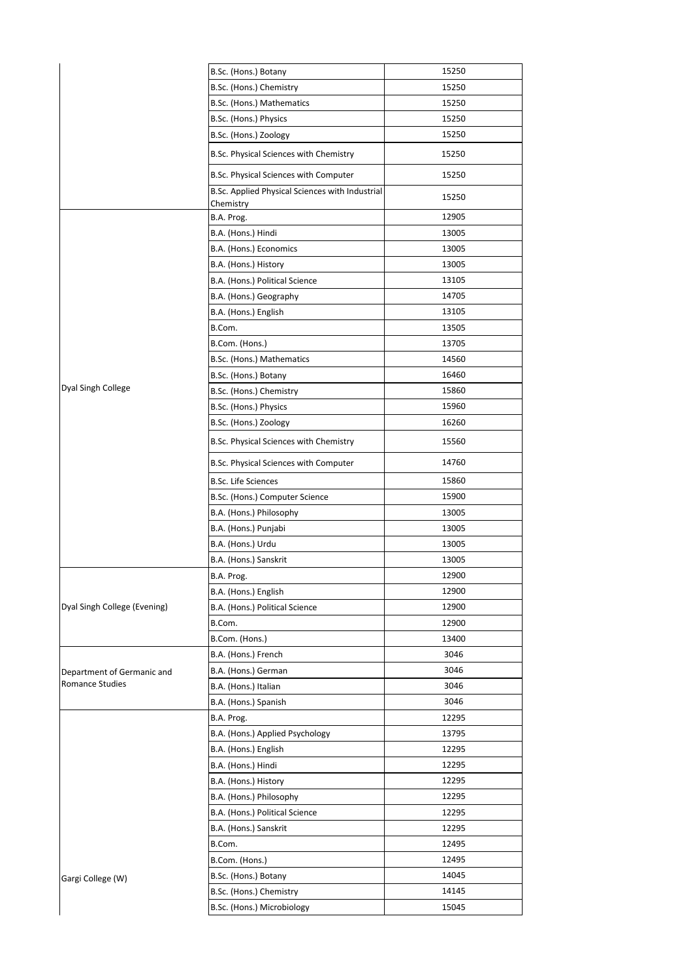|                              | B.Sc. (Hons.) Botany                            | 15250 |
|------------------------------|-------------------------------------------------|-------|
|                              | B.Sc. (Hons.) Chemistry                         | 15250 |
|                              | B.Sc. (Hons.) Mathematics                       | 15250 |
|                              | B.Sc. (Hons.) Physics                           | 15250 |
|                              | B.Sc. (Hons.) Zoology                           | 15250 |
|                              | B.Sc. Physical Sciences with Chemistry          | 15250 |
|                              | B.Sc. Physical Sciences with Computer           | 15250 |
|                              | B.Sc. Applied Physical Sciences with Industrial | 15250 |
|                              | Chemistry<br>B.A. Prog.                         | 12905 |
|                              | B.A. (Hons.) Hindi                              | 13005 |
|                              | B.A. (Hons.) Economics                          | 13005 |
|                              | B.A. (Hons.) History                            | 13005 |
|                              | B.A. (Hons.) Political Science                  | 13105 |
|                              | B.A. (Hons.) Geography                          | 14705 |
|                              | B.A. (Hons.) English                            | 13105 |
|                              | B.Com.                                          | 13505 |
|                              |                                                 | 13705 |
|                              | B.Com. (Hons.)                                  |       |
|                              | B.Sc. (Hons.) Mathematics                       | 14560 |
| Dyal Singh College           | B.Sc. (Hons.) Botany                            | 16460 |
|                              | B.Sc. (Hons.) Chemistry                         | 15860 |
|                              | B.Sc. (Hons.) Physics                           | 15960 |
|                              | B.Sc. (Hons.) Zoology                           | 16260 |
|                              | B.Sc. Physical Sciences with Chemistry          | 15560 |
|                              | B.Sc. Physical Sciences with Computer           | 14760 |
|                              | <b>B.Sc. Life Sciences</b>                      | 15860 |
|                              | B.Sc. (Hons.) Computer Science                  | 15900 |
|                              | B.A. (Hons.) Philosophy                         | 13005 |
|                              | B.A. (Hons.) Punjabi                            | 13005 |
|                              | B.A. (Hons.) Urdu                               | 13005 |
|                              | B.A. (Hons.) Sanskrit                           | 13005 |
|                              | B.A. Prog.                                      | 12900 |
|                              | B.A. (Hons.) English                            | 12900 |
| Dyal Singh College (Evening) | B.A. (Hons.) Political Science                  | 12900 |
|                              | B.Com.                                          | 12900 |
|                              | B.Com. (Hons.)                                  | 13400 |
|                              | B.A. (Hons.) French                             | 3046  |
| Department of Germanic and   | B.A. (Hons.) German                             | 3046  |
| Romance Studies              | B.A. (Hons.) Italian                            | 3046  |
|                              | B.A. (Hons.) Spanish                            | 3046  |
|                              | B.A. Prog.                                      | 12295 |
|                              | B.A. (Hons.) Applied Psychology                 | 13795 |
|                              | B.A. (Hons.) English                            | 12295 |
|                              | B.A. (Hons.) Hindi                              | 12295 |
|                              | B.A. (Hons.) History                            | 12295 |
|                              | B.A. (Hons.) Philosophy                         | 12295 |
|                              | B.A. (Hons.) Political Science                  | 12295 |
|                              | B.A. (Hons.) Sanskrit                           | 12295 |
|                              | B.Com.                                          | 12495 |
|                              | B.Com. (Hons.)                                  | 12495 |
| Gargi College (W)            | B.Sc. (Hons.) Botany                            | 14045 |
|                              | B.Sc. (Hons.) Chemistry                         | 14145 |
|                              | B.Sc. (Hons.) Microbiology                      | 15045 |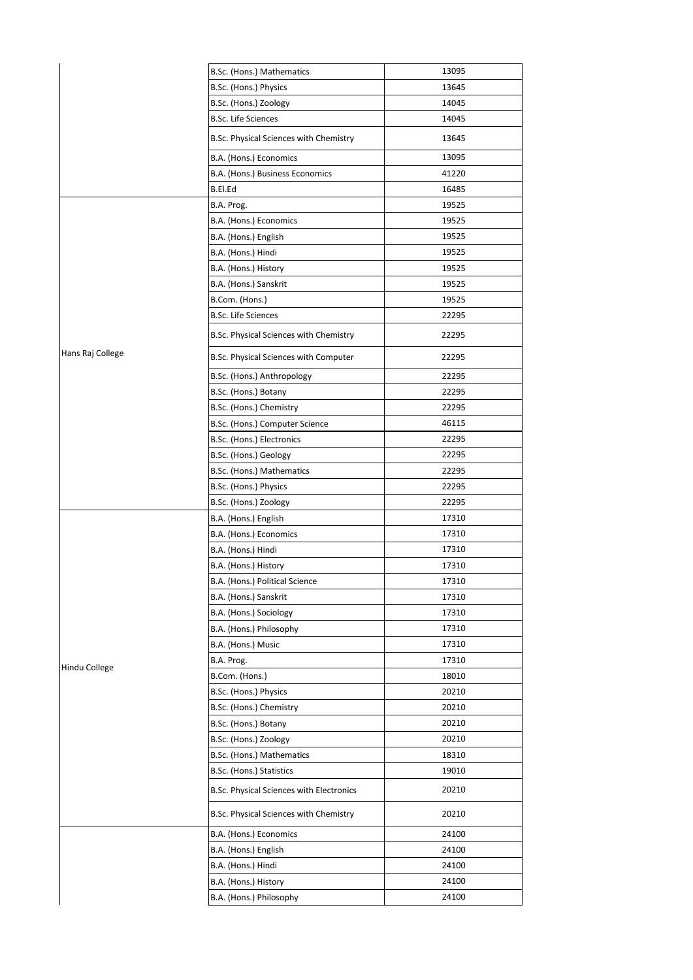|                  | B.Sc. (Hons.) Mathematics                | 13095 |
|------------------|------------------------------------------|-------|
|                  | B.Sc. (Hons.) Physics                    | 13645 |
|                  | B.Sc. (Hons.) Zoology                    | 14045 |
|                  | <b>B.Sc. Life Sciences</b>               | 14045 |
|                  | B.Sc. Physical Sciences with Chemistry   | 13645 |
|                  | B.A. (Hons.) Economics                   | 13095 |
|                  | B.A. (Hons.) Business Economics          | 41220 |
|                  | B.El.Ed                                  | 16485 |
|                  | B.A. Prog.                               | 19525 |
|                  | B.A. (Hons.) Economics                   | 19525 |
|                  | B.A. (Hons.) English                     | 19525 |
|                  | B.A. (Hons.) Hindi                       | 19525 |
|                  | B.A. (Hons.) History                     | 19525 |
|                  | B.A. (Hons.) Sanskrit                    | 19525 |
|                  | B.Com. (Hons.)                           | 19525 |
|                  | <b>B.Sc. Life Sciences</b>               | 22295 |
|                  | B.Sc. Physical Sciences with Chemistry   | 22295 |
| Hans Raj College | B.Sc. Physical Sciences with Computer    | 22295 |
|                  | B.Sc. (Hons.) Anthropology               | 22295 |
|                  | B.Sc. (Hons.) Botany                     | 22295 |
|                  | B.Sc. (Hons.) Chemistry                  | 22295 |
|                  | B.Sc. (Hons.) Computer Science           | 46115 |
|                  | B.Sc. (Hons.) Electronics                | 22295 |
|                  | B.Sc. (Hons.) Geology                    | 22295 |
|                  | B.Sc. (Hons.) Mathematics                | 22295 |
|                  | B.Sc. (Hons.) Physics                    | 22295 |
|                  | B.Sc. (Hons.) Zoology                    | 22295 |
|                  | B.A. (Hons.) English                     | 17310 |
|                  | B.A. (Hons.) Economics                   | 17310 |
|                  | B.A. (Hons.) Hindi                       | 17310 |
|                  | B.A. (Hons.) History                     | 17310 |
|                  | B.A. (Hons.) Political Science           | 17310 |
|                  | B.A. (Hons.) Sanskrit                    | 17310 |
|                  | B.A. (Hons.) Sociology                   | 17310 |
|                  | B.A. (Hons.) Philosophy                  | 17310 |
|                  | B.A. (Hons.) Music                       | 17310 |
|                  | B.A. Prog.                               | 17310 |
| Hindu College    | B.Com. (Hons.)                           | 18010 |
|                  | B.Sc. (Hons.) Physics                    | 20210 |
|                  | B.Sc. (Hons.) Chemistry                  | 20210 |
|                  | B.Sc. (Hons.) Botany                     | 20210 |
|                  | B.Sc. (Hons.) Zoology                    | 20210 |
|                  | B.Sc. (Hons.) Mathematics                | 18310 |
|                  | B.Sc. (Hons.) Statistics                 | 19010 |
|                  | B.Sc. Physical Sciences with Electronics | 20210 |
|                  | B.Sc. Physical Sciences with Chemistry   | 20210 |
|                  | B.A. (Hons.) Economics                   | 24100 |
|                  | B.A. (Hons.) English                     | 24100 |
|                  | B.A. (Hons.) Hindi                       | 24100 |
|                  | B.A. (Hons.) History                     | 24100 |
|                  | B.A. (Hons.) Philosophy                  | 24100 |
|                  |                                          |       |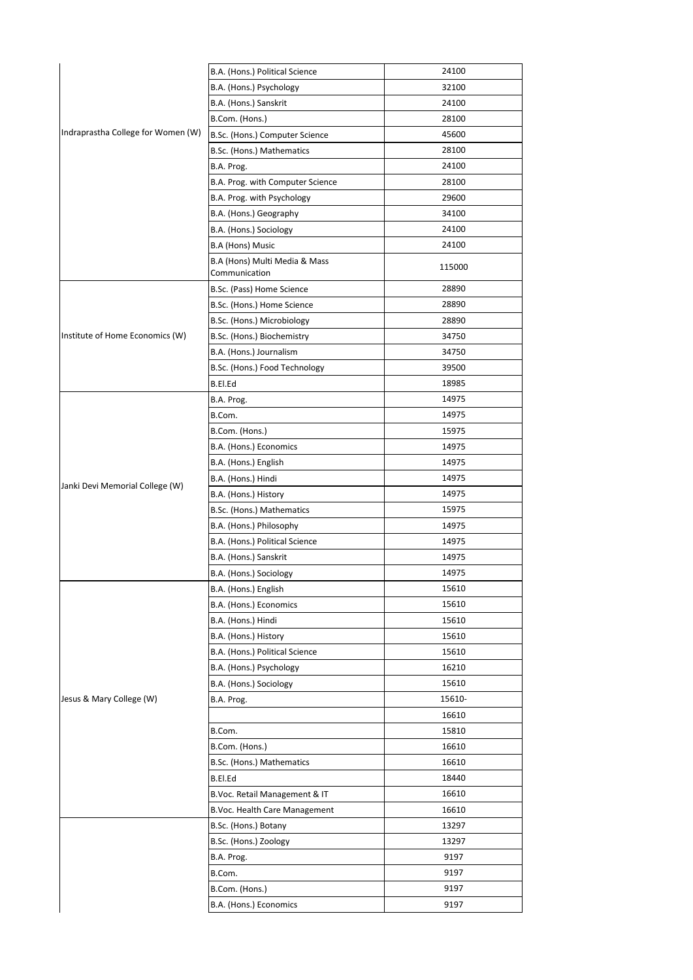|                                    | B.A. (Hons.) Political Science                 | 24100  |
|------------------------------------|------------------------------------------------|--------|
|                                    | B.A. (Hons.) Psychology                        | 32100  |
|                                    | B.A. (Hons.) Sanskrit                          | 24100  |
|                                    | B.Com. (Hons.)                                 | 28100  |
| Indraprastha College for Women (W) | B.Sc. (Hons.) Computer Science                 | 45600  |
|                                    | B.Sc. (Hons.) Mathematics                      | 28100  |
|                                    | B.A. Prog.                                     | 24100  |
|                                    | B.A. Prog. with Computer Science               | 28100  |
|                                    | B.A. Prog. with Psychology                     | 29600  |
|                                    | B.A. (Hons.) Geography                         | 34100  |
|                                    | B.A. (Hons.) Sociology                         | 24100  |
|                                    | B.A (Hons) Music                               | 24100  |
|                                    | B.A (Hons) Multi Media & Mass<br>Communication | 115000 |
|                                    | B.Sc. (Pass) Home Science                      | 28890  |
|                                    | B.Sc. (Hons.) Home Science                     | 28890  |
|                                    | B.Sc. (Hons.) Microbiology                     | 28890  |
| Institute of Home Economics (W)    | B.Sc. (Hons.) Biochemistry                     | 34750  |
|                                    | B.A. (Hons.) Journalism                        | 34750  |
|                                    | B.Sc. (Hons.) Food Technology                  | 39500  |
|                                    | B.El.Ed                                        | 18985  |
|                                    | B.A. Prog.                                     | 14975  |
|                                    | B.Com.                                         | 14975  |
|                                    | B.Com. (Hons.)                                 | 15975  |
|                                    | B.A. (Hons.) Economics                         | 14975  |
|                                    | B.A. (Hons.) English                           | 14975  |
|                                    | B.A. (Hons.) Hindi                             | 14975  |
| Janki Devi Memorial College (W)    | B.A. (Hons.) History                           | 14975  |
|                                    | B.Sc. (Hons.) Mathematics                      | 15975  |
|                                    | B.A. (Hons.) Philosophy                        | 14975  |
|                                    | B.A. (Hons.) Political Science                 | 14975  |
|                                    | B.A. (Hons.) Sanskrit                          | 14975  |
|                                    | B.A. (Hons.) Sociology                         | 14975  |
|                                    | B.A. (Hons.) English                           | 15610  |
|                                    | B.A. (Hons.) Economics                         | 15610  |
|                                    | B.A. (Hons.) Hindi                             | 15610  |
|                                    | B.A. (Hons.) History                           | 15610  |
|                                    | B.A. (Hons.) Political Science                 | 15610  |
|                                    | B.A. (Hons.) Psychology                        | 16210  |
|                                    | B.A. (Hons.) Sociology                         | 15610  |
| Jesus & Mary College (W)           | B.A. Prog.                                     | 15610- |
|                                    |                                                | 16610  |
|                                    | B.Com.                                         | 15810  |
|                                    | B.Com. (Hons.)                                 | 16610  |
|                                    | B.Sc. (Hons.) Mathematics                      | 16610  |
|                                    | B.El.Ed                                        | 18440  |
|                                    | B.Voc. Retail Management & IT                  | 16610  |
|                                    | B.Voc. Health Care Management                  | 16610  |
|                                    | B.Sc. (Hons.) Botany                           | 13297  |
|                                    | B.Sc. (Hons.) Zoology                          | 13297  |
|                                    | B.A. Prog.                                     | 9197   |
|                                    | B.Com.                                         | 9197   |
|                                    | B.Com. (Hons.)                                 | 9197   |
|                                    | B.A. (Hons.) Economics                         | 9197   |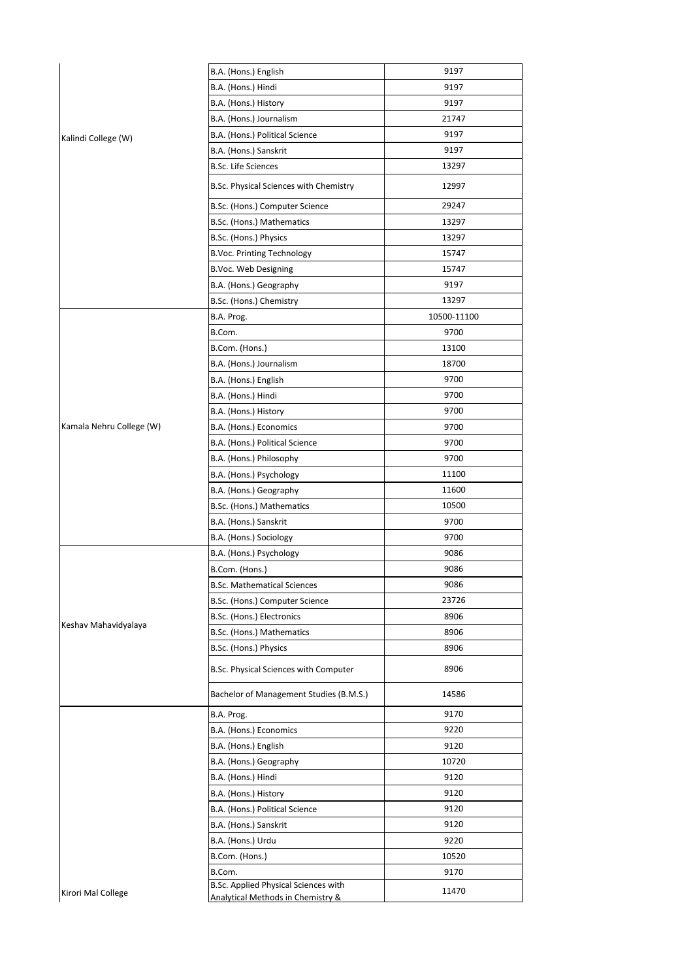|                          | B.A. (Hons.) English                                                      | 9197        |
|--------------------------|---------------------------------------------------------------------------|-------------|
|                          | B.A. (Hons.) Hindi                                                        | 9197        |
|                          | B.A. (Hons.) History                                                      | 9197        |
|                          | B.A. (Hons.) Journalism                                                   | 21747       |
| Kalindi College (W)      | B.A. (Hons.) Political Science                                            | 9197        |
|                          | B.A. (Hons.) Sanskrit                                                     | 9197        |
|                          | <b>B.Sc. Life Sciences</b>                                                | 13297       |
|                          | B.Sc. Physical Sciences with Chemistry                                    | 12997       |
|                          | B.Sc. (Hons.) Computer Science                                            | 29247       |
|                          | B.Sc. (Hons.) Mathematics                                                 | 13297       |
|                          | B.Sc. (Hons.) Physics                                                     | 13297       |
|                          | <b>B.Voc. Printing Technology</b>                                         | 15747       |
|                          | B.Voc. Web Designing                                                      | 15747       |
|                          | B.A. (Hons.) Geography                                                    | 9197        |
|                          | B.Sc. (Hons.) Chemistry                                                   | 13297       |
|                          | B.A. Prog.                                                                | 10500-11100 |
|                          | B.Com.                                                                    | 9700        |
|                          | B.Com. (Hons.)                                                            | 13100       |
|                          | B.A. (Hons.) Journalism                                                   | 18700       |
|                          | B.A. (Hons.) English                                                      | 9700        |
|                          | B.A. (Hons.) Hindi                                                        | 9700        |
|                          | B.A. (Hons.) History                                                      | 9700        |
| Kamala Nehru College (W) | B.A. (Hons.) Economics                                                    | 9700        |
|                          | B.A. (Hons.) Political Science                                            | 9700        |
|                          | B.A. (Hons.) Philosophy                                                   | 9700        |
|                          | B.A. (Hons.) Psychology                                                   | 11100       |
|                          | B.A. (Hons.) Geography                                                    | 11600       |
|                          | B.Sc. (Hons.) Mathematics                                                 | 10500       |
|                          | B.A. (Hons.) Sanskrit                                                     | 9700        |
|                          | B.A. (Hons.) Sociology                                                    | 9700        |
|                          | B.A. (Hons.) Psychology                                                   | 9086        |
|                          | B.Com. (Hons.)                                                            | 9086        |
|                          | <b>B.Sc. Mathematical Sciences</b>                                        | 9086        |
|                          | B.Sc. (Hons.) Computer Science                                            | 23726       |
|                          | B.Sc. (Hons.) Electronics                                                 | 8906        |
| Keshav Mahavidyalaya     | B.Sc. (Hons.) Mathematics                                                 | 8906        |
|                          | B.Sc. (Hons.) Physics                                                     | 8906        |
|                          | B.Sc. Physical Sciences with Computer                                     | 8906        |
|                          | Bachelor of Management Studies (B.M.S.)                                   | 14586       |
|                          | B.A. Prog.                                                                | 9170        |
|                          | B.A. (Hons.) Economics                                                    | 9220        |
|                          | B.A. (Hons.) English                                                      | 9120        |
|                          | B.A. (Hons.) Geography                                                    | 10720       |
|                          | B.A. (Hons.) Hindi                                                        | 9120        |
|                          | B.A. (Hons.) History                                                      | 9120        |
|                          | B.A. (Hons.) Political Science                                            | 9120        |
|                          | B.A. (Hons.) Sanskrit                                                     | 9120        |
|                          | B.A. (Hons.) Urdu                                                         | 9220        |
|                          | B.Com. (Hons.)                                                            | 10520       |
|                          | B.Com.                                                                    | 9170        |
| Kirori Mal College       | B.Sc. Applied Physical Sciences with<br>Analytical Methods in Chemistry & | 11470       |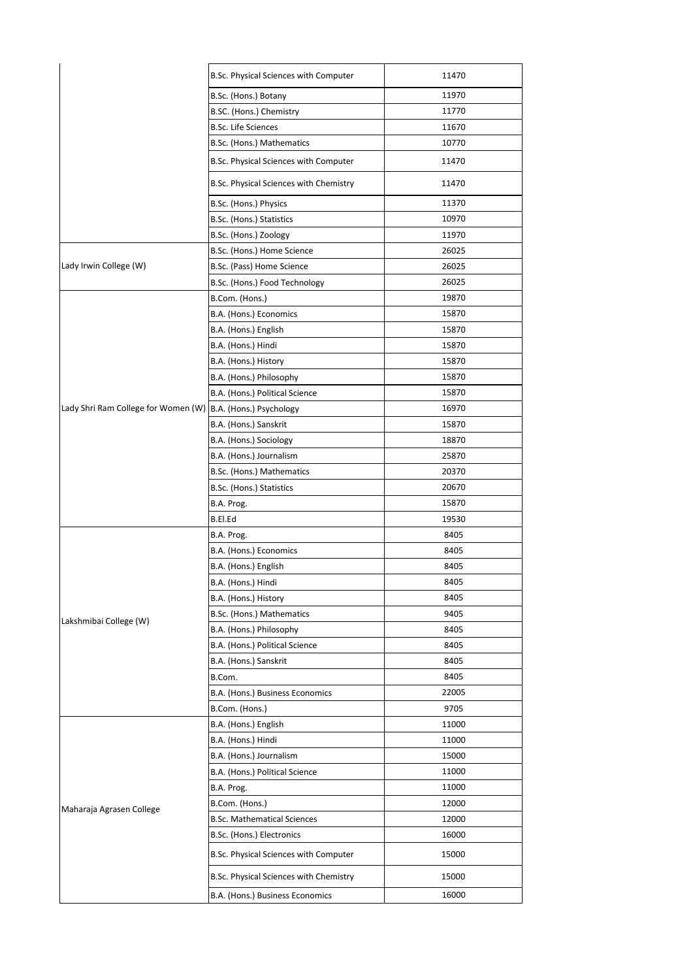|                                                             | B.Sc. Physical Sciences with Computer  | 11470 |
|-------------------------------------------------------------|----------------------------------------|-------|
|                                                             | B.Sc. (Hons.) Botany                   | 11970 |
|                                                             | B.SC. (Hons.) Chemistry                | 11770 |
|                                                             | <b>B.Sc. Life Sciences</b>             | 11670 |
|                                                             | B.Sc. (Hons.) Mathematics              | 10770 |
|                                                             | B.Sc. Physical Sciences with Computer  | 11470 |
|                                                             | B.Sc. Physical Sciences with Chemistry | 11470 |
|                                                             | B.Sc. (Hons.) Physics                  | 11370 |
|                                                             | B.Sc. (Hons.) Statistics               | 10970 |
|                                                             | B.Sc. (Hons.) Zoology                  | 11970 |
|                                                             | B.Sc. (Hons.) Home Science             | 26025 |
| Lady Irwin College (W)                                      | B.Sc. (Pass) Home Science              | 26025 |
|                                                             | B.Sc. (Hons.) Food Technology          | 26025 |
|                                                             | B.Com. (Hons.)                         | 19870 |
|                                                             | B.A. (Hons.) Economics                 | 15870 |
|                                                             | B.A. (Hons.) English                   | 15870 |
|                                                             | B.A. (Hons.) Hindi                     | 15870 |
|                                                             | B.A. (Hons.) History                   | 15870 |
|                                                             | B.A. (Hons.) Philosophy                | 15870 |
|                                                             | B.A. (Hons.) Political Science         | 15870 |
| Lady Shri Ram College for Women (W) B.A. (Hons.) Psychology |                                        | 16970 |
|                                                             | B.A. (Hons.) Sanskrit                  | 15870 |
|                                                             | B.A. (Hons.) Sociology                 | 18870 |
|                                                             | B.A. (Hons.) Journalism                | 25870 |
|                                                             | B.Sc. (Hons.) Mathematics              | 20370 |
|                                                             | B.Sc. (Hons.) Statistics               | 20670 |
|                                                             | B.A. Prog.                             | 15870 |
|                                                             | B.El.Ed                                | 19530 |
|                                                             | B.A. Prog.                             | 8405  |
|                                                             | B.A. (Hons.) Economics                 | 8405  |
|                                                             | B.A. (Hons.) English                   | 8405  |
|                                                             | B.A. (Hons.) Hindi                     | 8405  |
|                                                             | B.A. (Hons.) History                   | 8405  |
|                                                             | B.Sc. (Hons.) Mathematics              | 9405  |
| Lakshmibai College (W)                                      | B.A. (Hons.) Philosophy                | 8405  |
|                                                             | B.A. (Hons.) Political Science         | 8405  |
|                                                             | B.A. (Hons.) Sanskrit                  | 8405  |
|                                                             | B.Com.                                 | 8405  |
|                                                             | B.A. (Hons.) Business Economics        | 22005 |
|                                                             | B.Com. (Hons.)                         | 9705  |
|                                                             | B.A. (Hons.) English                   | 11000 |
|                                                             | B.A. (Hons.) Hindi                     | 11000 |
|                                                             |                                        | 15000 |
|                                                             | B.A. (Hons.) Journalism                |       |
| Maharaja Agrasen College                                    | B.A. (Hons.) Political Science         | 11000 |
|                                                             | B.A. Prog.                             | 11000 |
|                                                             | B.Com. (Hons.)                         | 12000 |
|                                                             | <b>B.Sc. Mathematical Sciences</b>     | 12000 |
|                                                             | B.Sc. (Hons.) Electronics              | 16000 |
|                                                             | B.Sc. Physical Sciences with Computer  | 15000 |
|                                                             | B.Sc. Physical Sciences with Chemistry | 15000 |
|                                                             | B.A. (Hons.) Business Economics        | 16000 |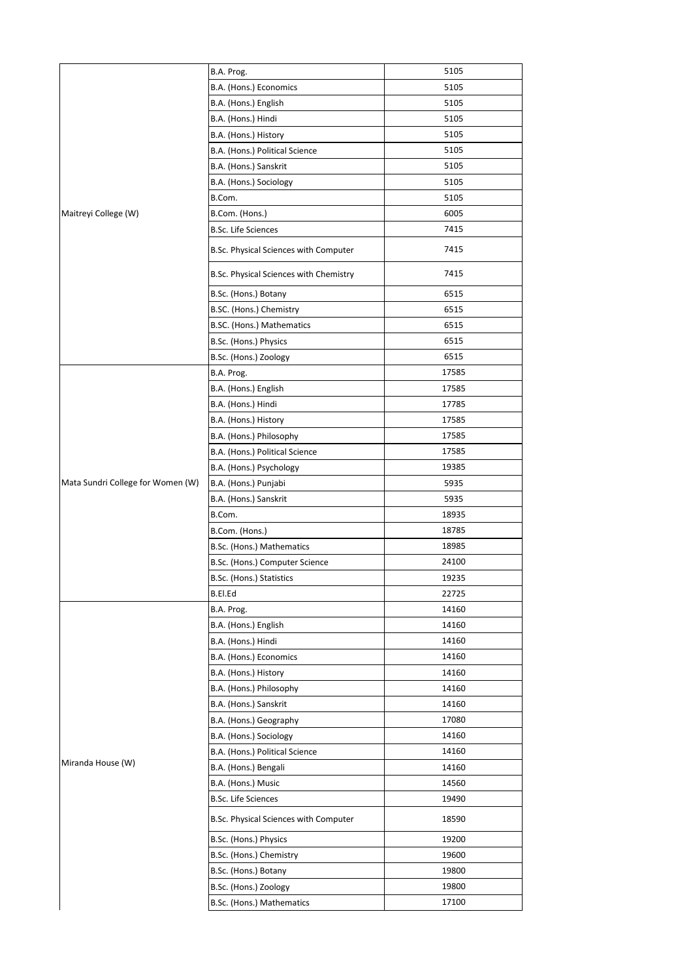|                                   | B.A. Prog.                             | 5105  |
|-----------------------------------|----------------------------------------|-------|
|                                   | B.A. (Hons.) Economics                 | 5105  |
|                                   | B.A. (Hons.) English                   | 5105  |
|                                   | B.A. (Hons.) Hindi                     | 5105  |
|                                   | B.A. (Hons.) History                   | 5105  |
|                                   | B.A. (Hons.) Political Science         | 5105  |
|                                   | B.A. (Hons.) Sanskrit                  | 5105  |
|                                   | B.A. (Hons.) Sociology                 | 5105  |
|                                   | B.Com.                                 | 5105  |
| Maitreyi College (W)              | B.Com. (Hons.)                         | 6005  |
|                                   | <b>B.Sc. Life Sciences</b>             | 7415  |
|                                   | B.Sc. Physical Sciences with Computer  | 7415  |
|                                   | B.Sc. Physical Sciences with Chemistry | 7415  |
|                                   | B.Sc. (Hons.) Botany                   | 6515  |
|                                   | B.SC. (Hons.) Chemistry                | 6515  |
|                                   | B.SC. (Hons.) Mathematics              | 6515  |
|                                   | B.Sc. (Hons.) Physics                  | 6515  |
|                                   | B.Sc. (Hons.) Zoology                  | 6515  |
|                                   | B.A. Prog.                             | 17585 |
|                                   | B.A. (Hons.) English                   | 17585 |
|                                   | B.A. (Hons.) Hindi                     | 17785 |
|                                   | B.A. (Hons.) History                   | 17585 |
|                                   | B.A. (Hons.) Philosophy                | 17585 |
|                                   | B.A. (Hons.) Political Science         | 17585 |
|                                   | B.A. (Hons.) Psychology                | 19385 |
| Mata Sundri College for Women (W) | B.A. (Hons.) Punjabi                   | 5935  |
|                                   | B.A. (Hons.) Sanskrit                  | 5935  |
|                                   | B.Com.                                 | 18935 |
|                                   | B.Com. (Hons.)                         | 18785 |
|                                   | B.Sc. (Hons.) Mathematics              | 18985 |
|                                   | B.Sc. (Hons.) Computer Science         | 24100 |
|                                   | B.Sc. (Hons.) Statistics               | 19235 |
|                                   | B.El.Ed                                | 22725 |
|                                   | B.A. Prog.                             | 14160 |
|                                   | B.A. (Hons.) English                   | 14160 |
|                                   | B.A. (Hons.) Hindi                     | 14160 |
|                                   | B.A. (Hons.) Economics                 | 14160 |
|                                   | B.A. (Hons.) History                   | 14160 |
|                                   | B.A. (Hons.) Philosophy                | 14160 |
|                                   | B.A. (Hons.) Sanskrit                  | 14160 |
|                                   | B.A. (Hons.) Geography                 | 17080 |
|                                   | B.A. (Hons.) Sociology                 | 14160 |
|                                   | B.A. (Hons.) Political Science         | 14160 |
| Miranda House (W)                 | B.A. (Hons.) Bengali                   | 14160 |
|                                   | B.A. (Hons.) Music                     | 14560 |
|                                   | <b>B.Sc. Life Sciences</b>             | 19490 |
|                                   | B.Sc. Physical Sciences with Computer  | 18590 |
|                                   | B.Sc. (Hons.) Physics                  | 19200 |
|                                   | B.Sc. (Hons.) Chemistry                | 19600 |
|                                   | B.Sc. (Hons.) Botany                   | 19800 |
|                                   | B.Sc. (Hons.) Zoology                  | 19800 |
|                                   | B.Sc. (Hons.) Mathematics              | 17100 |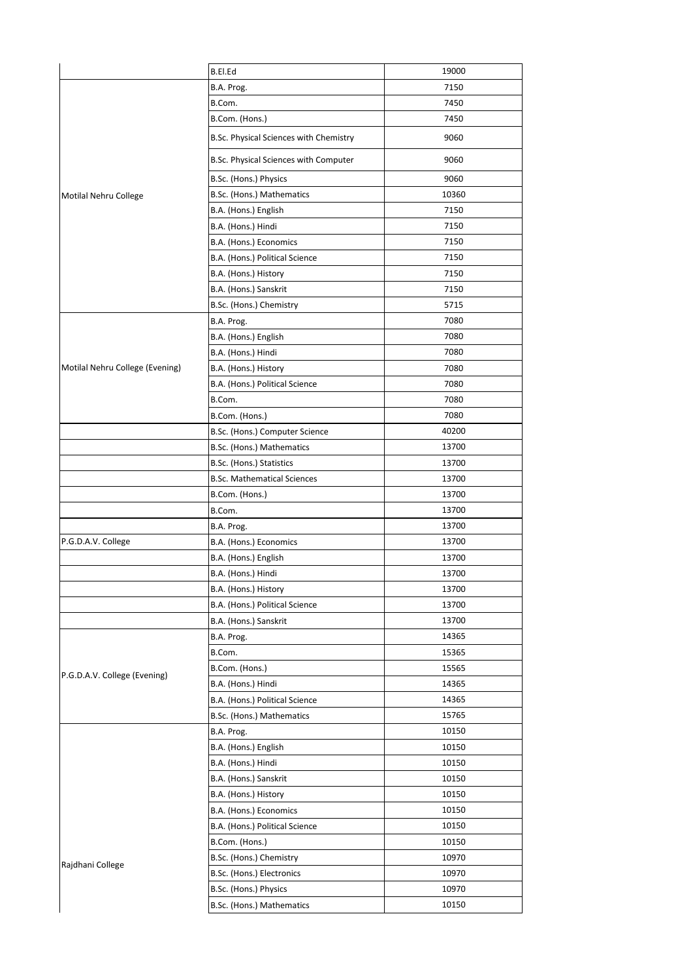|                                 | B.El.Ed                                            | 19000 |
|---------------------------------|----------------------------------------------------|-------|
|                                 | B.A. Prog.                                         | 7150  |
|                                 | B.Com.                                             | 7450  |
|                                 | B.Com. (Hons.)                                     | 7450  |
|                                 | B.Sc. Physical Sciences with Chemistry             | 9060  |
|                                 | B.Sc. Physical Sciences with Computer              | 9060  |
|                                 |                                                    | 9060  |
|                                 | B.Sc. (Hons.) Physics<br>B.Sc. (Hons.) Mathematics | 10360 |
| Motilal Nehru College           |                                                    | 7150  |
|                                 | B.A. (Hons.) English                               | 7150  |
|                                 | B.A. (Hons.) Hindi                                 | 7150  |
|                                 | B.A. (Hons.) Economics                             | 7150  |
|                                 | B.A. (Hons.) Political Science                     |       |
|                                 | B.A. (Hons.) History                               | 7150  |
|                                 | B.A. (Hons.) Sanskrit                              | 7150  |
|                                 | B.Sc. (Hons.) Chemistry                            | 5715  |
|                                 | B.A. Prog.                                         | 7080  |
|                                 | B.A. (Hons.) English                               | 7080  |
|                                 | B.A. (Hons.) Hindi                                 | 7080  |
| Motilal Nehru College (Evening) | B.A. (Hons.) History                               | 7080  |
|                                 | B.A. (Hons.) Political Science                     | 7080  |
|                                 | B.Com.                                             | 7080  |
|                                 | B.Com. (Hons.)                                     | 7080  |
|                                 | B.Sc. (Hons.) Computer Science                     | 40200 |
|                                 | B.Sc. (Hons.) Mathematics                          | 13700 |
|                                 | B.Sc. (Hons.) Statistics                           | 13700 |
|                                 | <b>B.Sc. Mathematical Sciences</b>                 | 13700 |
|                                 | B.Com. (Hons.)                                     | 13700 |
|                                 | B.Com.                                             | 13700 |
|                                 | B.A. Prog.                                         | 13700 |
| P.G.D.A.V. College              | B.A. (Hons.) Economics                             | 13700 |
|                                 | B.A. (Hons.) English                               | 13700 |
|                                 | B.A. (Hons.) Hindi                                 | 13700 |
|                                 | B.A. (Hons.) History                               | 13700 |
|                                 | B.A. (Hons.) Political Science                     | 13700 |
|                                 | B.A. (Hons.) Sanskrit                              | 13700 |
|                                 | B.A. Prog.                                         | 14365 |
|                                 | B.Com.                                             | 15365 |
| P.G.D.A.V. College (Evening)    | B.Com. (Hons.)                                     | 15565 |
|                                 | B.A. (Hons.) Hindi                                 | 14365 |
|                                 | B.A. (Hons.) Political Science                     | 14365 |
|                                 | B.Sc. (Hons.) Mathematics                          | 15765 |
|                                 | B.A. Prog.                                         | 10150 |
|                                 | B.A. (Hons.) English                               | 10150 |
|                                 | B.A. (Hons.) Hindi                                 | 10150 |
|                                 | B.A. (Hons.) Sanskrit                              | 10150 |
|                                 | B.A. (Hons.) History                               | 10150 |
|                                 | B.A. (Hons.) Economics                             | 10150 |
|                                 | B.A. (Hons.) Political Science                     | 10150 |
|                                 | B.Com. (Hons.)                                     | 10150 |
| Rajdhani College                | B.Sc. (Hons.) Chemistry                            | 10970 |
|                                 | B.Sc. (Hons.) Electronics                          | 10970 |
|                                 | B.Sc. (Hons.) Physics                              | 10970 |
|                                 | B.Sc. (Hons.) Mathematics                          | 10150 |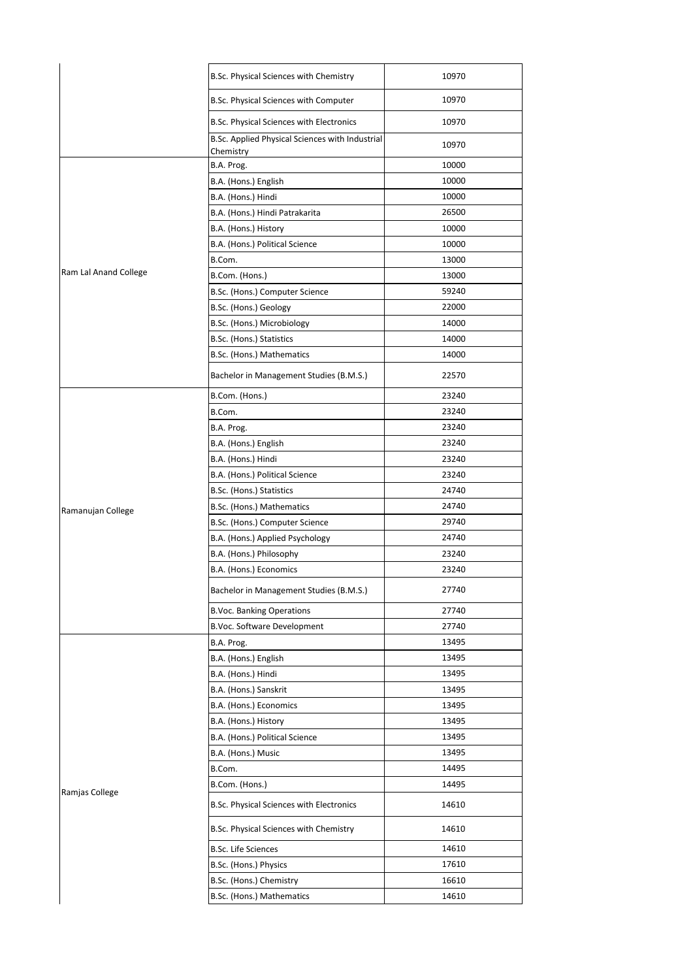|                       | B.Sc. Physical Sciences with Chemistry                       | 10970 |
|-----------------------|--------------------------------------------------------------|-------|
|                       | B.Sc. Physical Sciences with Computer                        | 10970 |
|                       | B.Sc. Physical Sciences with Electronics                     | 10970 |
|                       | B.Sc. Applied Physical Sciences with Industrial<br>Chemistry | 10970 |
|                       | B.A. Prog.                                                   | 10000 |
|                       | B.A. (Hons.) English                                         | 10000 |
|                       | B.A. (Hons.) Hindi                                           | 10000 |
|                       | B.A. (Hons.) Hindi Patrakarita                               | 26500 |
|                       | B.A. (Hons.) History                                         | 10000 |
|                       | B.A. (Hons.) Political Science                               | 10000 |
|                       | B.Com.                                                       | 13000 |
| Ram Lal Anand College | B.Com. (Hons.)                                               | 13000 |
|                       | B.Sc. (Hons.) Computer Science                               | 59240 |
|                       | B.Sc. (Hons.) Geology                                        | 22000 |
|                       | B.Sc. (Hons.) Microbiology                                   | 14000 |
|                       | B.Sc. (Hons.) Statistics                                     | 14000 |
|                       | B.Sc. (Hons.) Mathematics                                    | 14000 |
|                       | Bachelor in Management Studies (B.M.S.)                      | 22570 |
|                       | B.Com. (Hons.)                                               | 23240 |
|                       | B.Com.                                                       | 23240 |
|                       | B.A. Prog.                                                   | 23240 |
|                       | B.A. (Hons.) English                                         | 23240 |
|                       | B.A. (Hons.) Hindi                                           | 23240 |
|                       | B.A. (Hons.) Political Science                               | 23240 |
|                       | B.Sc. (Hons.) Statistics                                     | 24740 |
| Ramanujan College     | B.Sc. (Hons.) Mathematics                                    | 24740 |
|                       | B.Sc. (Hons.) Computer Science                               | 29740 |
|                       | B.A. (Hons.) Applied Psychology                              | 24740 |
|                       | B.A. (Hons.) Philosophy                                      | 23240 |
|                       | B.A. (Hons.) Economics                                       | 23240 |
|                       | Bachelor in Management Studies (B.M.S.)                      | 27740 |
|                       | <b>B.Voc. Banking Operations</b>                             | 27740 |
|                       | B.Voc. Software Development                                  | 27740 |
|                       | B.A. Prog.                                                   | 13495 |
|                       | B.A. (Hons.) English                                         | 13495 |
|                       | B.A. (Hons.) Hindi                                           | 13495 |
|                       | B.A. (Hons.) Sanskrit                                        | 13495 |
|                       | B.A. (Hons.) Economics                                       | 13495 |
|                       | B.A. (Hons.) History                                         | 13495 |
|                       | B.A. (Hons.) Political Science                               | 13495 |
|                       | B.A. (Hons.) Music                                           | 13495 |
|                       | B.Com.                                                       | 14495 |
| Ramjas College        | B.Com. (Hons.)                                               | 14495 |
|                       | B.Sc. Physical Sciences with Electronics                     | 14610 |
|                       | B.Sc. Physical Sciences with Chemistry                       | 14610 |
|                       | <b>B.Sc. Life Sciences</b>                                   | 14610 |
|                       | B.Sc. (Hons.) Physics                                        | 17610 |
|                       | B.Sc. (Hons.) Chemistry                                      | 16610 |
|                       | B.Sc. (Hons.) Mathematics                                    | 14610 |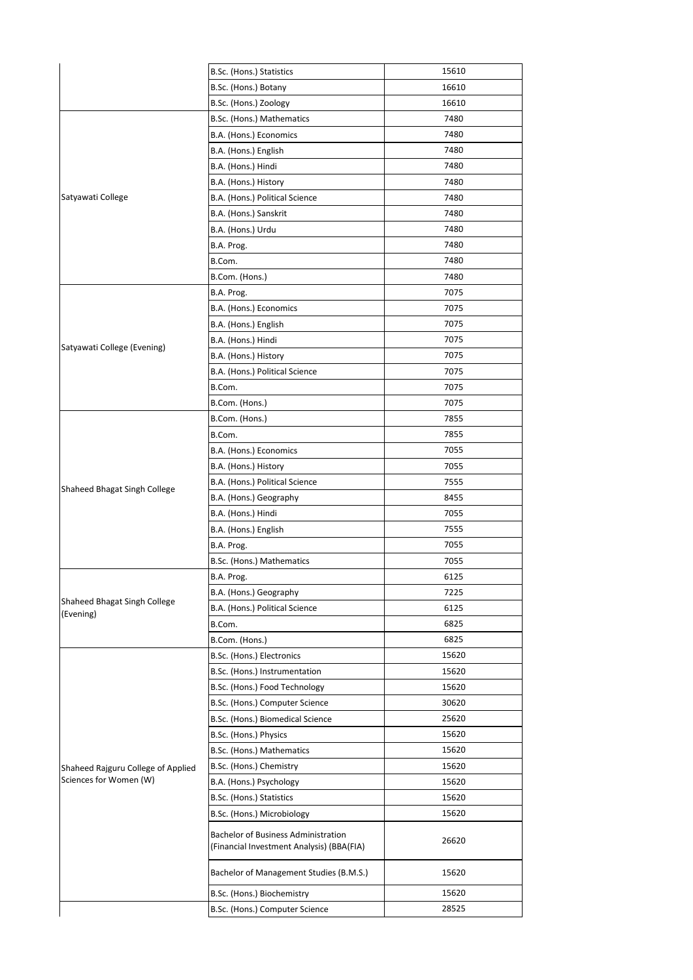|                                    | B.Sc. (Hons.) Statistics                                                                | 15610 |
|------------------------------------|-----------------------------------------------------------------------------------------|-------|
|                                    | B.Sc. (Hons.) Botany                                                                    | 16610 |
|                                    | B.Sc. (Hons.) Zoology                                                                   | 16610 |
|                                    | B.Sc. (Hons.) Mathematics                                                               | 7480  |
|                                    | B.A. (Hons.) Economics                                                                  | 7480  |
|                                    | B.A. (Hons.) English                                                                    | 7480  |
|                                    | B.A. (Hons.) Hindi                                                                      | 7480  |
|                                    | B.A. (Hons.) History                                                                    | 7480  |
| Satyawati College                  | B.A. (Hons.) Political Science                                                          | 7480  |
|                                    | B.A. (Hons.) Sanskrit                                                                   | 7480  |
|                                    | B.A. (Hons.) Urdu                                                                       | 7480  |
|                                    | B.A. Prog.                                                                              | 7480  |
|                                    | B.Com.                                                                                  | 7480  |
|                                    | B.Com. (Hons.)                                                                          | 7480  |
|                                    | B.A. Prog.                                                                              | 7075  |
|                                    | B.A. (Hons.) Economics                                                                  | 7075  |
|                                    | B.A. (Hons.) English                                                                    | 7075  |
|                                    | B.A. (Hons.) Hindi                                                                      | 7075  |
| Satyawati College (Evening)        | B.A. (Hons.) History                                                                    | 7075  |
|                                    | B.A. (Hons.) Political Science                                                          | 7075  |
|                                    | B.Com.                                                                                  | 7075  |
|                                    | B.Com. (Hons.)                                                                          | 7075  |
|                                    | B.Com. (Hons.)                                                                          | 7855  |
|                                    | B.Com.                                                                                  | 7855  |
|                                    | B.A. (Hons.) Economics                                                                  | 7055  |
|                                    | B.A. (Hons.) History                                                                    | 7055  |
| Shaheed Bhagat Singh College       | B.A. (Hons.) Political Science                                                          | 7555  |
|                                    | B.A. (Hons.) Geography                                                                  | 8455  |
|                                    | B.A. (Hons.) Hindi                                                                      | 7055  |
|                                    | B.A. (Hons.) English                                                                    | 7555  |
|                                    | B.A. Prog.                                                                              | 7055  |
|                                    | B.Sc. (Hons.) Mathematics                                                               | 7055  |
|                                    | B.A. Prog.                                                                              | 6125  |
| Shaheed Bhagat Singh College       | B.A. (Hons.) Geography                                                                  | 7225  |
| (Evening)                          | B.A. (Hons.) Political Science                                                          | 6125  |
|                                    | B.Com.                                                                                  | 6825  |
|                                    | B.Com. (Hons.)                                                                          | 6825  |
|                                    | B.Sc. (Hons.) Electronics                                                               | 15620 |
|                                    | B.Sc. (Hons.) Instrumentation                                                           | 15620 |
|                                    | B.Sc. (Hons.) Food Technology                                                           | 15620 |
|                                    | B.Sc. (Hons.) Computer Science                                                          | 30620 |
|                                    | B.Sc. (Hons.) Biomedical Science                                                        | 25620 |
|                                    | B.Sc. (Hons.) Physics                                                                   | 15620 |
|                                    | B.Sc. (Hons.) Mathematics                                                               | 15620 |
| Shaheed Rajguru College of Applied | B.Sc. (Hons.) Chemistry                                                                 | 15620 |
| Sciences for Women (W)             | B.A. (Hons.) Psychology                                                                 | 15620 |
|                                    | B.Sc. (Hons.) Statistics                                                                | 15620 |
|                                    | B.Sc. (Hons.) Microbiology                                                              | 15620 |
|                                    | <b>Bachelor of Business Administration</b><br>(Financial Investment Analysis) (BBA(FIA) | 26620 |
|                                    | Bachelor of Management Studies (B.M.S.)                                                 | 15620 |
|                                    | B.Sc. (Hons.) Biochemistry                                                              | 15620 |
|                                    | B.Sc. (Hons.) Computer Science                                                          | 28525 |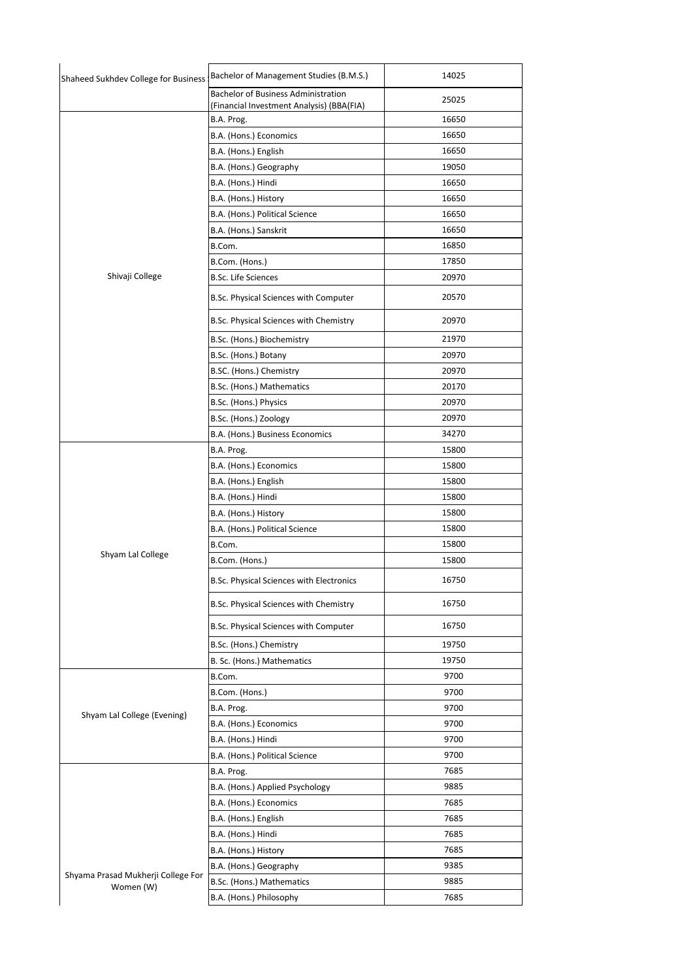| Shaheed Sukhdev College for Business !          | Bachelor of Management Studies (B.M.S.)                                                 | 14025 |
|-------------------------------------------------|-----------------------------------------------------------------------------------------|-------|
|                                                 | <b>Bachelor of Business Administration</b><br>(Financial Investment Analysis) (BBA(FIA) | 25025 |
|                                                 | B.A. Prog.                                                                              | 16650 |
|                                                 | B.A. (Hons.) Economics                                                                  | 16650 |
|                                                 | B.A. (Hons.) English                                                                    | 16650 |
|                                                 | B.A. (Hons.) Geography                                                                  | 19050 |
|                                                 | B.A. (Hons.) Hindi                                                                      | 16650 |
|                                                 | B.A. (Hons.) History                                                                    | 16650 |
|                                                 | B.A. (Hons.) Political Science                                                          | 16650 |
|                                                 | B.A. (Hons.) Sanskrit                                                                   | 16650 |
|                                                 | B.Com.                                                                                  | 16850 |
|                                                 | B.Com. (Hons.)                                                                          | 17850 |
| Shivaji College                                 | <b>B.Sc. Life Sciences</b>                                                              | 20970 |
|                                                 |                                                                                         |       |
|                                                 | B.Sc. Physical Sciences with Computer                                                   | 20570 |
|                                                 | B.Sc. Physical Sciences with Chemistry                                                  | 20970 |
|                                                 | B.Sc. (Hons.) Biochemistry                                                              | 21970 |
|                                                 | B.Sc. (Hons.) Botany                                                                    | 20970 |
|                                                 | B.SC. (Hons.) Chemistry                                                                 | 20970 |
|                                                 | B.Sc. (Hons.) Mathematics                                                               | 20170 |
|                                                 | B.Sc. (Hons.) Physics                                                                   | 20970 |
|                                                 | B.Sc. (Hons.) Zoology                                                                   | 20970 |
|                                                 | B.A. (Hons.) Business Economics                                                         | 34270 |
|                                                 | B.A. Prog.                                                                              | 15800 |
|                                                 | B.A. (Hons.) Economics                                                                  | 15800 |
|                                                 | B.A. (Hons.) English                                                                    | 15800 |
|                                                 | B.A. (Hons.) Hindi                                                                      | 15800 |
|                                                 | B.A. (Hons.) History                                                                    | 15800 |
|                                                 | B.A. (Hons.) Political Science                                                          | 15800 |
|                                                 | B.Com.                                                                                  | 15800 |
| Shyam Lal College                               | B.Com. (Hons.)                                                                          | 15800 |
|                                                 | B.Sc. Physical Sciences with Electronics                                                | 16750 |
|                                                 | B.Sc. Physical Sciences with Chemistry                                                  | 16750 |
|                                                 | B.Sc. Physical Sciences with Computer                                                   | 16750 |
|                                                 | B.Sc. (Hons.) Chemistry                                                                 | 19750 |
|                                                 | B. Sc. (Hons.) Mathematics                                                              | 19750 |
| Shyam Lal College (Evening)                     | B.Com.                                                                                  | 9700  |
|                                                 | B.Com. (Hons.)                                                                          | 9700  |
|                                                 | B.A. Prog.                                                                              | 9700  |
|                                                 | B.A. (Hons.) Economics                                                                  | 9700  |
|                                                 | B.A. (Hons.) Hindi                                                                      | 9700  |
|                                                 | B.A. (Hons.) Political Science                                                          | 9700  |
|                                                 | B.A. Prog.                                                                              | 7685  |
|                                                 | B.A. (Hons.) Applied Psychology                                                         | 9885  |
|                                                 | B.A. (Hons.) Economics                                                                  | 7685  |
|                                                 | B.A. (Hons.) English                                                                    | 7685  |
|                                                 | B.A. (Hons.) Hindi                                                                      | 7685  |
| Shyama Prasad Mukherji College For<br>Women (W) | B.A. (Hons.) History                                                                    | 7685  |
|                                                 | B.A. (Hons.) Geography                                                                  | 9385  |
|                                                 | B.Sc. (Hons.) Mathematics                                                               | 9885  |
|                                                 | B.A. (Hons.) Philosophy                                                                 | 7685  |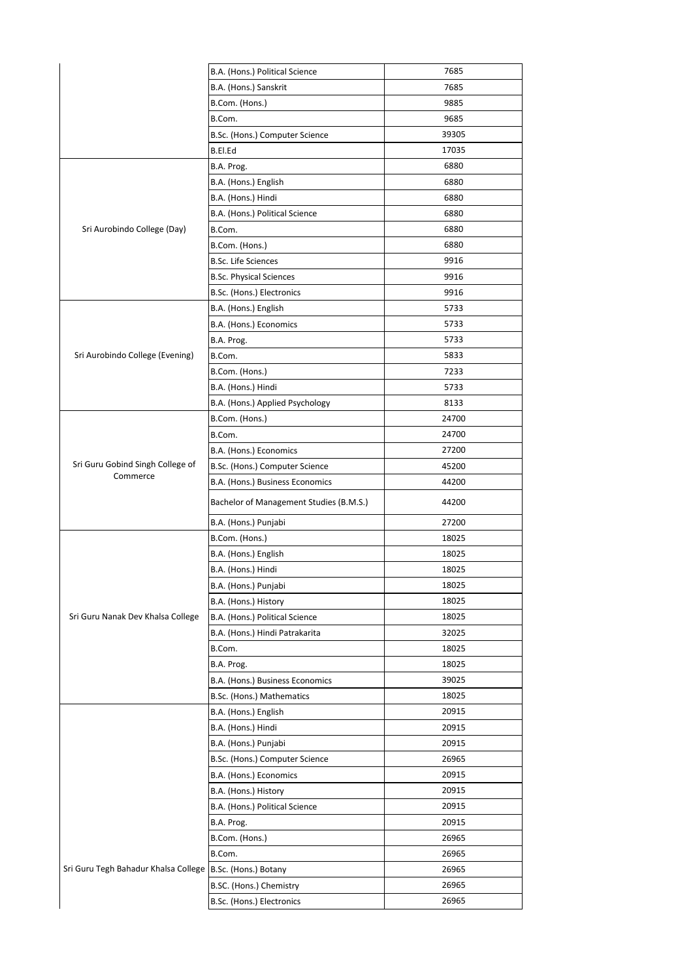|                                      | B.A. (Hons.) Political Science          | 7685  |
|--------------------------------------|-----------------------------------------|-------|
|                                      | B.A. (Hons.) Sanskrit                   | 7685  |
|                                      | B.Com. (Hons.)                          | 9885  |
|                                      | B.Com.                                  | 9685  |
|                                      | B.Sc. (Hons.) Computer Science          | 39305 |
|                                      | B.El.Ed                                 | 17035 |
|                                      | B.A. Prog.                              | 6880  |
|                                      | B.A. (Hons.) English                    | 6880  |
| Sri Aurobindo College (Day)          | B.A. (Hons.) Hindi                      | 6880  |
|                                      | B.A. (Hons.) Political Science          | 6880  |
|                                      | B.Com.                                  | 6880  |
|                                      | B.Com. (Hons.)                          | 6880  |
|                                      | <b>B.Sc. Life Sciences</b>              | 9916  |
|                                      | <b>B.Sc. Physical Sciences</b>          | 9916  |
|                                      | B.Sc. (Hons.) Electronics               | 9916  |
|                                      | B.A. (Hons.) English                    | 5733  |
|                                      | B.A. (Hons.) Economics                  | 5733  |
|                                      | B.A. Prog.                              | 5733  |
| Sri Aurobindo College (Evening)      | B.Com.                                  | 5833  |
|                                      | B.Com. (Hons.)                          | 7233  |
|                                      | B.A. (Hons.) Hindi                      | 5733  |
|                                      | B.A. (Hons.) Applied Psychology         | 8133  |
|                                      | B.Com. (Hons.)                          | 24700 |
|                                      | B.Com.                                  | 24700 |
|                                      | B.A. (Hons.) Economics                  | 27200 |
| Sri Guru Gobind Singh College of     | B.Sc. (Hons.) Computer Science          | 45200 |
| Commerce                             | B.A. (Hons.) Business Economics         | 44200 |
|                                      | Bachelor of Management Studies (B.M.S.) | 44200 |
|                                      | B.A. (Hons.) Punjabi                    | 27200 |
|                                      | B.Com. (Hons.)                          | 18025 |
|                                      | B.A. (Hons.) English                    | 18025 |
|                                      | B.A. (Hons.) Hindi                      | 18025 |
|                                      | B.A. (Hons.) Punjabi                    | 18025 |
|                                      | B.A. (Hons.) History                    | 18025 |
| Sri Guru Nanak Dev Khalsa College    | B.A. (Hons.) Political Science          | 18025 |
|                                      | B.A. (Hons.) Hindi Patrakarita          | 32025 |
|                                      | B.Com.                                  | 18025 |
|                                      | B.A. Prog.                              | 18025 |
|                                      | B.A. (Hons.) Business Economics         | 39025 |
|                                      | B.Sc. (Hons.) Mathematics               | 18025 |
|                                      | B.A. (Hons.) English                    | 20915 |
|                                      | B.A. (Hons.) Hindi                      | 20915 |
|                                      | B.A. (Hons.) Punjabi                    | 20915 |
|                                      | B.Sc. (Hons.) Computer Science          | 26965 |
|                                      | B.A. (Hons.) Economics                  | 20915 |
|                                      | B.A. (Hons.) History                    | 20915 |
|                                      | B.A. (Hons.) Political Science          | 20915 |
|                                      | B.A. Prog.                              | 20915 |
|                                      | B.Com. (Hons.)                          | 26965 |
| Sri Guru Tegh Bahadur Khalsa College | B.Com.                                  | 26965 |
|                                      | B.Sc. (Hons.) Botany                    | 26965 |
|                                      | B.SC. (Hons.) Chemistry                 | 26965 |
|                                      | B.Sc. (Hons.) Electronics               | 26965 |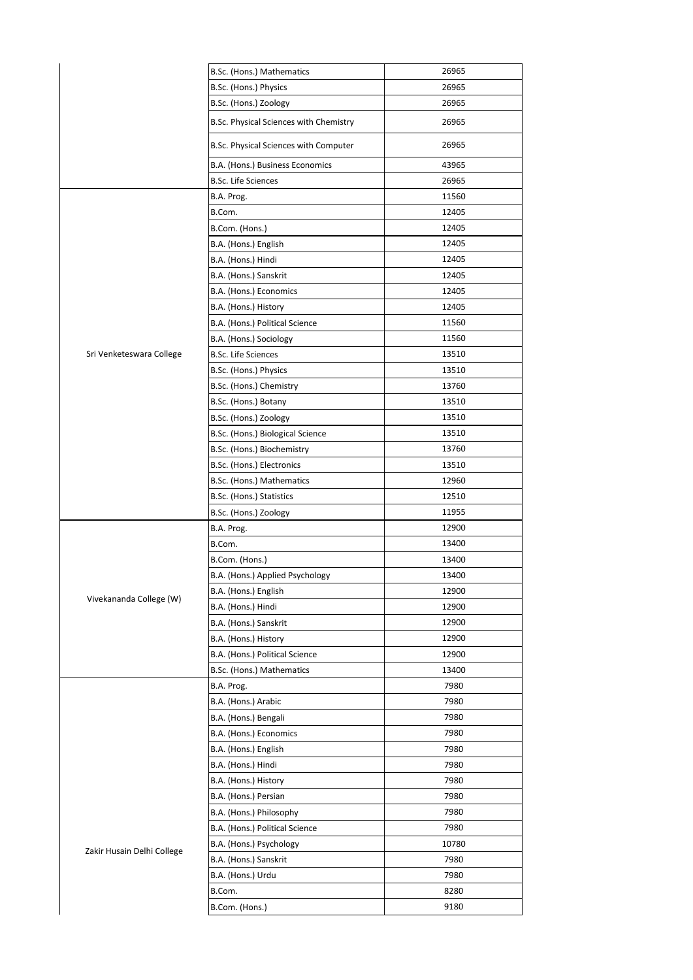|                            | B.Sc. (Hons.) Mathematics              | 26965 |
|----------------------------|----------------------------------------|-------|
|                            | B.Sc. (Hons.) Physics                  | 26965 |
|                            | B.Sc. (Hons.) Zoology                  | 26965 |
|                            | B.Sc. Physical Sciences with Chemistry | 26965 |
|                            | B.Sc. Physical Sciences with Computer  | 26965 |
|                            | B.A. (Hons.) Business Economics        | 43965 |
|                            | <b>B.Sc. Life Sciences</b>             | 26965 |
|                            | B.A. Prog.                             | 11560 |
|                            | B.Com.                                 | 12405 |
|                            | B.Com. (Hons.)                         | 12405 |
|                            | B.A. (Hons.) English                   | 12405 |
|                            | B.A. (Hons.) Hindi                     | 12405 |
|                            | B.A. (Hons.) Sanskrit                  | 12405 |
|                            | B.A. (Hons.) Economics                 | 12405 |
|                            | B.A. (Hons.) History                   | 12405 |
|                            | B.A. (Hons.) Political Science         | 11560 |
|                            | B.A. (Hons.) Sociology                 | 11560 |
| Sri Venketeswara College   | <b>B.Sc. Life Sciences</b>             | 13510 |
|                            | B.Sc. (Hons.) Physics                  | 13510 |
|                            | B.Sc. (Hons.) Chemistry                | 13760 |
|                            | B.Sc. (Hons.) Botany                   | 13510 |
|                            | B.Sc. (Hons.) Zoology                  | 13510 |
|                            | B.Sc. (Hons.) Biological Science       | 13510 |
|                            | B.Sc. (Hons.) Biochemistry             | 13760 |
|                            | B.Sc. (Hons.) Electronics              | 13510 |
|                            | B.Sc. (Hons.) Mathematics              | 12960 |
|                            | B.Sc. (Hons.) Statistics               | 12510 |
|                            | B.Sc. (Hons.) Zoology                  | 11955 |
|                            | B.A. Prog.                             | 12900 |
|                            | B.Com.                                 | 13400 |
|                            | B.Com. (Hons.)                         | 13400 |
|                            | B.A. (Hons.) Applied Psychology        | 13400 |
| Vivekananda College (W)    | B.A. (Hons.) English                   | 12900 |
|                            | B.A. (Hons.) Hindi                     | 12900 |
|                            | B.A. (Hons.) Sanskrit                  | 12900 |
|                            | B.A. (Hons.) History                   | 12900 |
|                            | B.A. (Hons.) Political Science         | 12900 |
|                            | B.Sc. (Hons.) Mathematics              | 13400 |
|                            | B.A. Prog.                             | 7980  |
|                            | B.A. (Hons.) Arabic                    | 7980  |
|                            | B.A. (Hons.) Bengali                   | 7980  |
|                            | B.A. (Hons.) Economics                 | 7980  |
|                            | B.A. (Hons.) English                   | 7980  |
|                            | B.A. (Hons.) Hindi                     | 7980  |
|                            | B.A. (Hons.) History                   | 7980  |
|                            | B.A. (Hons.) Persian                   | 7980  |
|                            | B.A. (Hons.) Philosophy                | 7980  |
|                            | B.A. (Hons.) Political Science         | 7980  |
| Zakir Husain Delhi College | B.A. (Hons.) Psychology                | 10780 |
|                            | B.A. (Hons.) Sanskrit                  | 7980  |
|                            | B.A. (Hons.) Urdu                      | 7980  |
|                            | B.Com.                                 | 8280  |
|                            | B.Com. (Hons.)                         | 9180  |